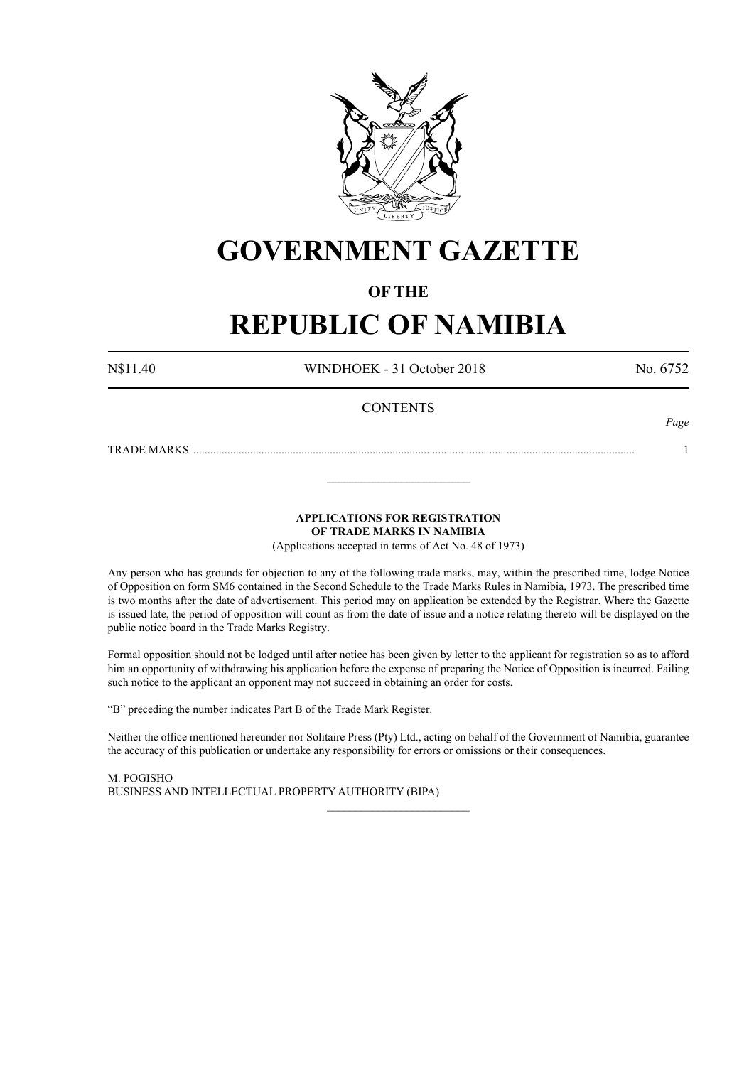

# **GOVERNMENT GAZETTE**

### **OF THE**

# **REPUBLIC OF NAMIBIA**

N\$11.40 WINDHOEK - 31 October 2018 No. 6752

*Page*

#### **CONTENTS**

TRADE MARKS ........................................................................................................................................................... 1

**APPLICATIONS FOR REGISTRATION**

**OF TRADE MARKS IN NAMIBIA**

\_\_\_\_\_\_\_\_\_\_\_\_\_\_\_\_\_\_\_\_\_\_\_\_\_

(Applications accepted in terms of Act No. 48 of 1973)

Any person who has grounds for objection to any of the following trade marks, may, within the prescribed time, lodge Notice of Opposition on form SM6 contained in the Second Schedule to the Trade Marks Rules in Namibia, 1973. The prescribed time is two months after the date of advertisement. This period may on application be extended by the Registrar. Where the Gazette is issued late, the period of opposition will count as from the date of issue and a notice relating thereto will be displayed on the public notice board in the Trade Marks Registry.

Formal opposition should not be lodged until after notice has been given by letter to the applicant for registration so as to afford him an opportunity of withdrawing his application before the expense of preparing the Notice of Opposition is incurred. Failing such notice to the applicant an opponent may not succeed in obtaining an order for costs.

"B" preceding the number indicates Part B of the Trade Mark Register.

Neither the office mentioned hereunder nor Solitaire Press (Pty) Ltd., acting on behalf of the Government of Namibia, guarantee the accuracy of this publication or undertake any responsibility for errors or omissions or their consequences.

\_\_\_\_\_\_\_\_\_\_\_\_\_\_\_\_\_\_\_\_\_\_\_\_\_

M. PogIsho BUSINESS AND INTELLECTUAL PROPERTY AUTHORITY (BIPA)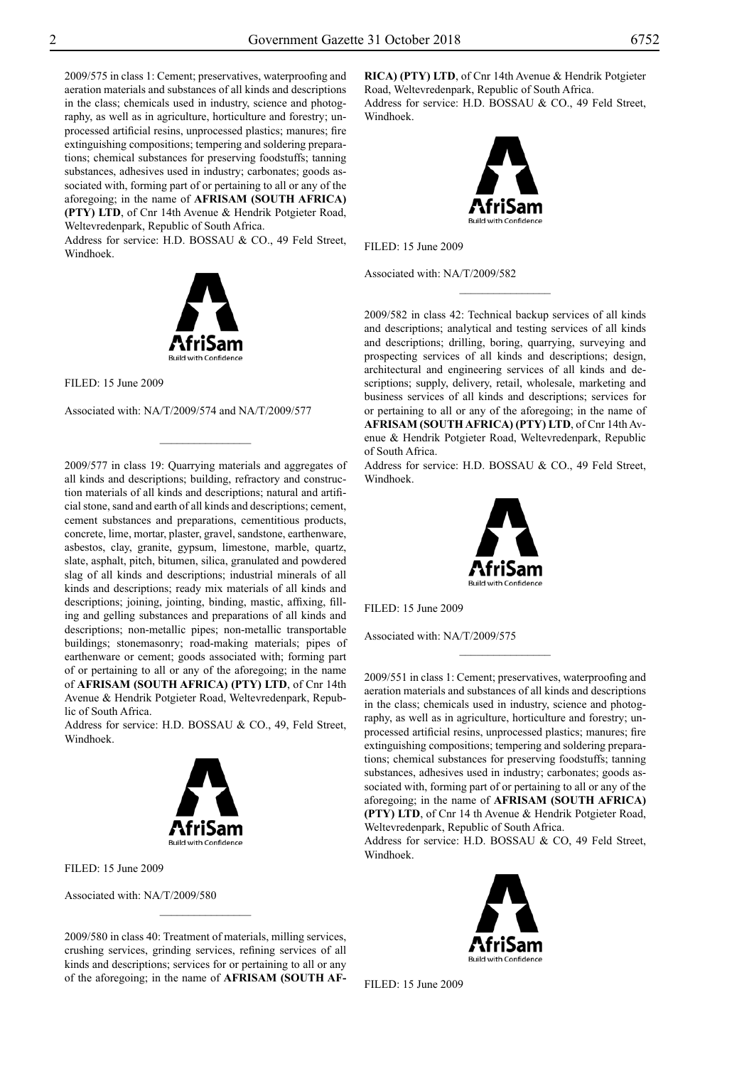2009/575 in class 1: Cement; preservatives, waterproofing and aeration materials and substances of all kinds and descriptions in the class; chemicals used in industry, science and photography, as well as in agriculture, horticulture and forestry; unprocessed artificial resins, unprocessed plastics; manures; fire extinguishing compositions; tempering and soldering preparations; chemical substances for preserving foodstuffs; tanning substances, adhesives used in industry; carbonates; goods associated with, forming part of or pertaining to all or any of the aforegoing; in the name of **AFRISAM (SOUTH AFRICA) (PTY) LTD**, of Cnr 14th Avenue & Hendrik Potgieter Road, Weltevredenpark, Republic of South Africa.

Address for service: H.D. BOSSAU & CO., 49 Feld Street, Windhoek.



Filed: 15 June 2009

Associated with: NA/T/2009/574 and NA/T/2009/577

 $\frac{1}{2}$ 

2009/577 in class 19: Quarrying materials and aggregates of all kinds and descriptions; building, refractory and construction materials of all kinds and descriptions; natural and artificial stone, sand and earth of all kinds and descriptions; cement, cement substances and preparations, cementitious products, concrete, lime, mortar, plaster, gravel, sandstone, earthenware, asbestos, clay, granite, gypsum, limestone, marble, quartz, slate, asphalt, pitch, bitumen, silica, granulated and powdered slag of all kinds and descriptions; industrial minerals of all kinds and descriptions; ready mix materials of all kinds and descriptions; joining, jointing, binding, mastic, affixing, filling and gelling substances and preparations of all kinds and descriptions; non-metallic pipes; non-metallic transportable buildings; stonemasonry; road-making materials; pipes of earthenware or cement; goods associated with; forming part of or pertaining to all or any of the aforegoing; in the name of **AFRISAM (SOUTH AFRICA) (PTY) LTD**, of Cnr 14th Avenue & Hendrik Potgieter Road, Weltevredenpark, Republic of South Africa.

Address for service: H.D. BOSSAU & CO., 49, Feld Street, Windhoek.



Filed: 15 June 2009

Associated with: NA/T/2009/580

2009/580 in class 40: Treatment of materials, milling services, crushing services, grinding services, refining services of all kinds and descriptions; services for or pertaining to all or any of the aforegoing; in the name of **AFRISAM (SOUTH AF-**

 $\overline{\phantom{a}}$  , where  $\overline{\phantom{a}}$ 

**RICA) (PTY) LTD**, of Cnr 14th Avenue & Hendrik Potgieter Road, Weltevredenpark, Republic of South Africa. Address for service: H.D. BOSSAU & CO., 49 Feld Street, Windhoek.



Filed: 15 June 2009

Associated with: NA/T/2009/582

2009/582 in class 42: Technical backup services of all kinds and descriptions; analytical and testing services of all kinds and descriptions; drilling, boring, quarrying, surveying and prospecting services of all kinds and descriptions; design, architectural and engineering services of all kinds and descriptions; supply, delivery, retail, wholesale, marketing and business services of all kinds and descriptions; services for or pertaining to all or any of the aforegoing; in the name of **AFRISAM (SOUTH AFRICA) (PTY) LTD**, of Cnr 14th Avenue & Hendrik Potgieter Road, Weltevredenpark, Republic of South Africa.

 $\frac{1}{2}$ 

Address for service: H.D. BOSSAU & CO., 49 Feld Street, Windhoek.



Filed: 15 June 2009

Associated with: NA/T/2009/575

2009/551 in class 1: Cement; preservatives, waterproofing and aeration materials and substances of all kinds and descriptions in the class; chemicals used in industry, science and photography, as well as in agriculture, horticulture and forestry; unprocessed artificial resins, unprocessed plastics; manures; fire extinguishing compositions; tempering and soldering preparations; chemical substances for preserving foodstuffs; tanning substances, adhesives used in industry; carbonates; goods associated with, forming part of or pertaining to all or any of the aforegoing; in the name of **AFRISAM (SOUTH AFRICA) (PTY) LTD**, of Cnr 14 th Avenue & Hendrik Potgieter Road, Weltevredenpark, Republic of South Africa.

 $\frac{1}{2}$ 

Address for service: H.D. BOSSAU & CO, 49 Feld Street, Windhoek.



Filed: 15 June 2009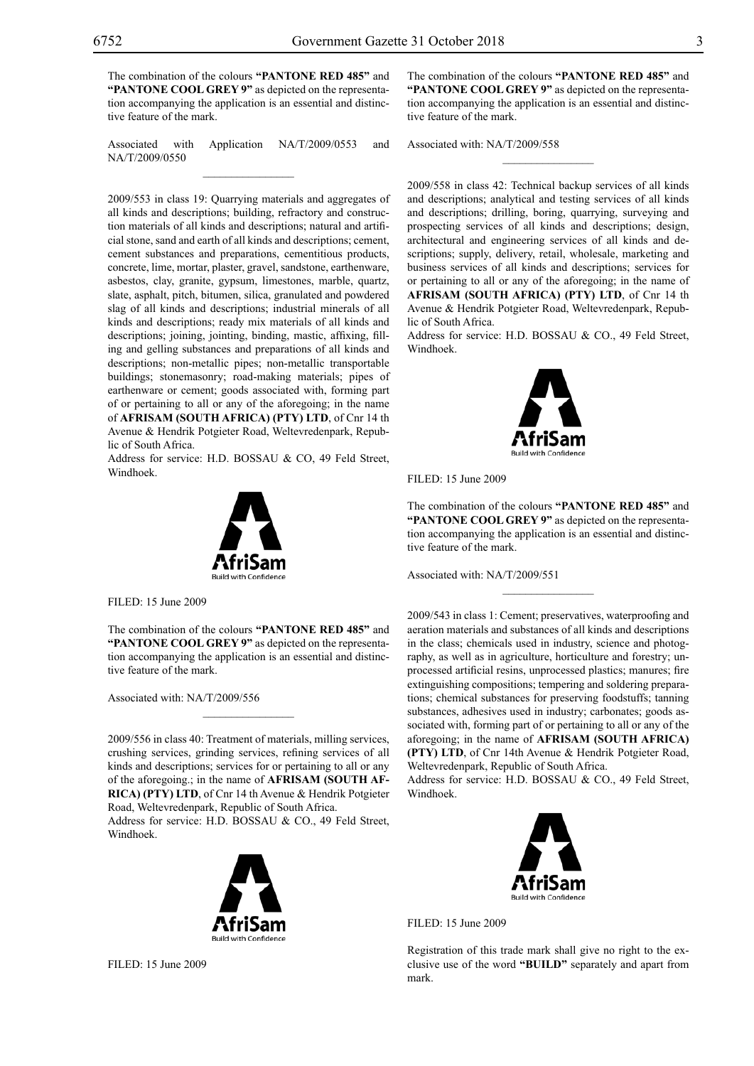The combination of the colours **"PANTONE RED 485"** and "PANTONE COOL GREY 9" as depicted on the representation accompanying the application is an essential and distinctive feature of the mark.

Associated with Application NA/T/2009/0553 and NA/T/2009/0550  $\mathcal{L}=\mathcal{L}^{\mathcal{L}}$ 

2009/553 in class 19: Quarrying materials and aggregates of all kinds and descriptions; building, refractory and construction materials of all kinds and descriptions; natural and artificial stone, sand and earth of all kinds and descriptions; cement, cement substances and preparations, cementitious products, concrete, lime, mortar, plaster, gravel, sandstone, earthenware, asbestos, clay, granite, gypsum, limestones, marble, quartz, slate, asphalt, pitch, bitumen, silica, granulated and powdered slag of all kinds and descriptions; industrial minerals of all kinds and descriptions; ready mix materials of all kinds and descriptions; joining, jointing, binding, mastic, affixing, filling and gelling substances and preparations of all kinds and descriptions; non-metallic pipes; non-metallic transportable buildings; stonemasonry; road-making materials; pipes of earthenware or cement; goods associated with, forming part of or pertaining to all or any of the aforegoing; in the name of **AFRISAM (SOUTH AFRICA) (PTY) LTD**, of Cnr 14 th Avenue & Hendrik Potgieter Road, Weltevredenpark, Republic of South Africa.

Address for service: H.D. BOSSAU & CO, 49 Feld Street, Windhoek.



FILED: 15 June 2009

The combination of the colours **"PANTONE RED 485"** and "PANTONE COOL GREY 9" as depicted on the representation accompanying the application is an essential and distinctive feature of the mark.

Associated with: NA/T/2009/556

2009/556 in class 40: Treatment of materials, milling services, crushing services, grinding services, refining services of all kinds and descriptions; services for or pertaining to all or any of the aforegoing.; in the name of **AFRISAM (SOUTH AF-RICA) (PTY) LTD**, of Cnr 14 th Avenue & Hendrik Potgieter Road, Weltevredenpark, Republic of South Africa.

Address for service: H.D. BOSSAU & CO., 49 Feld Street, Windhoek.



The combination of the colours "PANTONE RED 485" and **"PANTONE COOL GREY 9"** as depicted on the representation accompanying the application is an essential and distinctive feature of the mark.

 $\frac{1}{2}$ 

Associated with: NA/T/2009/558

2009/558 in class 42: Technical backup services of all kinds and descriptions; analytical and testing services of all kinds and descriptions; drilling, boring, quarrying, surveying and prospecting services of all kinds and descriptions; design, architectural and engineering services of all kinds and descriptions; supply, delivery, retail, wholesale, marketing and business services of all kinds and descriptions; services for or pertaining to all or any of the aforegoing; in the name of **AFRISAM (SOUTH AFRICA) (PTY) LTD**, of Cnr 14 th Avenue & Hendrik Potgieter Road, Weltevredenpark, Republic of South Africa.

Address for service: H.D. BOSSAU & CO., 49 Feld Street, Windhoek.



Filed: 15 June 2009

The combination of the colours **"PANTONE RED 485"** and "PANTONE COOL GREY 9" as depicted on the representation accompanying the application is an essential and distinctive feature of the mark.

 $\frac{1}{2}$ 

Associated with: NA/T/2009/551

2009/543 in class 1: Cement; preservatives, waterproofing and aeration materials and substances of all kinds and descriptions in the class; chemicals used in industry, science and photography, as well as in agriculture, horticulture and forestry; unprocessed artificial resins, unprocessed plastics; manures; fire extinguishing compositions; tempering and soldering preparations; chemical substances for preserving foodstuffs; tanning substances, adhesives used in industry; carbonates; goods associated with, forming part of or pertaining to all or any of the aforegoing; in the name of **AFRISAM (SOUTH AFRICA) (PTY) LTD**, of Cnr 14th Avenue & Hendrik Potgieter Road, Weltevredenpark, Republic of South Africa.

Address for service: H.D. BOSSAU & CO., 49 Feld Street, Windhoek.



Filed: 15 June 2009

Registration of this trade mark shall give no right to the exclusive use of the word **"BUILD"** separately and apart from mark.

Filed: 15 June 2009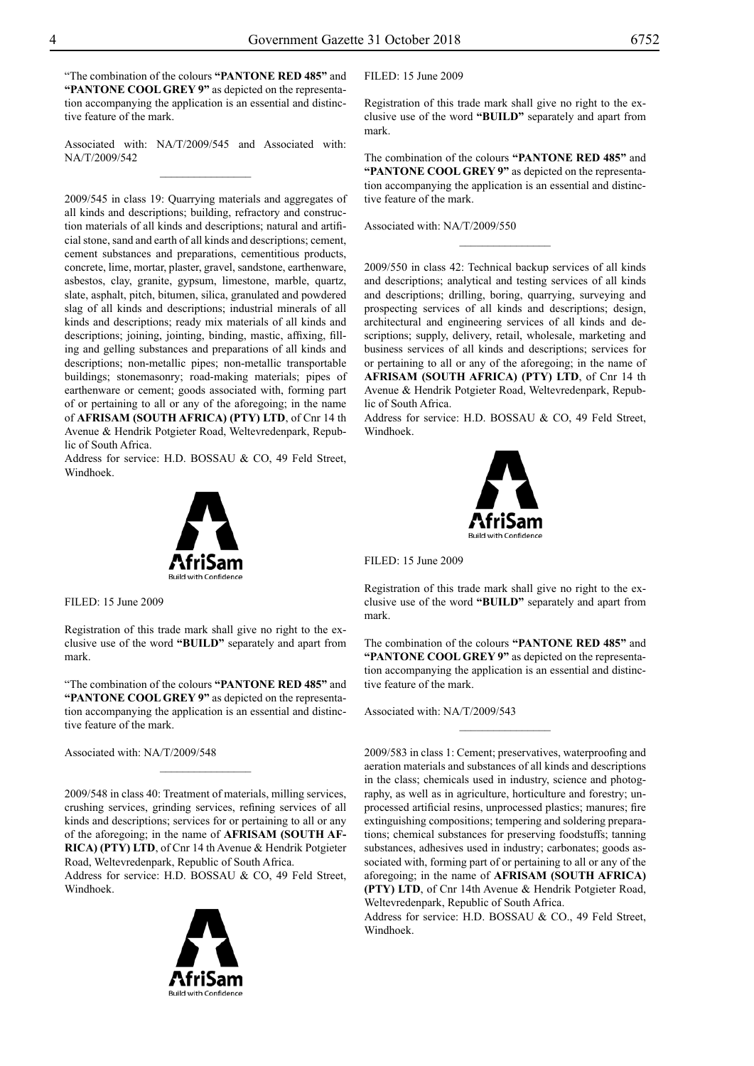"The combination of the colours **"Pantone Red 485"** and "PANTONE COOL GREY 9" as depicted on the representation accompanying the application is an essential and distinctive feature of the mark.

Associated with: NA/T/2009/545 and Associated with: NA/T/2009/542  $\frac{1}{2}$ 

2009/545 in class 19: Quarrying materials and aggregates of all kinds and descriptions; building, refractory and construction materials of all kinds and descriptions; natural and artificial stone, sand and earth of all kinds and descriptions; cement, cement substances and preparations, cementitious products, concrete, lime, mortar, plaster, gravel, sandstone, earthenware, asbestos, clay, granite, gypsum, limestone, marble, quartz, slate, asphalt, pitch, bitumen, silica, granulated and powdered slag of all kinds and descriptions; industrial minerals of all kinds and descriptions; ready mix materials of all kinds and descriptions; joining, jointing, binding, mastic, affixing, filling and gelling substances and preparations of all kinds and descriptions; non-metallic pipes; non-metallic transportable buildings; stonemasonry; road-making materials; pipes of earthenware or cement; goods associated with, forming part of or pertaining to all or any of the aforegoing; in the name of **AFRISAM (SOUTH AFRICA) (PTY) LTD**, of Cnr 14 th Avenue & Hendrik Potgieter Road, Weltevredenpark, Republic of South Africa.

Address for service: H.D. BOSSAU & CO, 49 Feld Street, Windhoek.



Filed: 15 June 2009

Registration of this trade mark shall give no right to the exclusive use of the word **"BUILD"** separately and apart from mark.

"The combination of the colours "PANTONE RED 485" and "PANTONE COOL GREY 9" as depicted on the representation accompanying the application is an essential and distinctive feature of the mark.

Associated with: NA/T/2009/548

2009/548 in class 40: Treatment of materials, milling services, crushing services, grinding services, refining services of all kinds and descriptions; services for or pertaining to all or any of the aforegoing; in the name of **AFRISAM (SOUTH AF-RICA) (PTY) LTD**, of Cnr 14 th Avenue & Hendrik Potgieter Road, Weltevredenpark, Republic of South Africa.

 $\overline{\phantom{a}}$  , where  $\overline{\phantom{a}}$ 

Address for service: H.D. BOSSAU & CO, 49 Feld Street, Windhoek.



#### Filed: 15 June 2009

Registration of this trade mark shall give no right to the exclusive use of the word **"BUILD"** separately and apart from mark.

The combination of the colours **"PANTONE RED 485"** and "PANTONE COOL GREY 9" as depicted on the representation accompanying the application is an essential and distinctive feature of the mark.

 $\frac{1}{2}$ 

Associated with: NA/T/2009/550

2009/550 in class 42: Technical backup services of all kinds and descriptions; analytical and testing services of all kinds and descriptions; drilling, boring, quarrying, surveying and prospecting services of all kinds and descriptions; design, architectural and engineering services of all kinds and descriptions; supply, delivery, retail, wholesale, marketing and business services of all kinds and descriptions; services for or pertaining to all or any of the aforegoing; in the name of **AFRISAM (SOUTH AFRICA) (PTY) LTD**, of Cnr 14 th Avenue & Hendrik Potgieter Road, Weltevredenpark, Republic of South Africa.

Address for service: H.D. BOSSAU & CO, 49 Feld Street, Windhoek.



Filed: 15 June 2009

Registration of this trade mark shall give no right to the exclusive use of the word **"BUILD"** separately and apart from mark.

The combination of the colours **"PANTONE RED 485"** and "PANTONE COOL GREY 9" as depicted on the representation accompanying the application is an essential and distinctive feature of the mark.

 $\frac{1}{2}$ 

Associated with: NA/T/2009/543

2009/583 in class 1: Cement; preservatives, waterproofing and aeration materials and substances of all kinds and descriptions in the class; chemicals used in industry, science and photography, as well as in agriculture, horticulture and forestry; unprocessed artificial resins, unprocessed plastics; manures; fire extinguishing compositions; tempering and soldering preparations; chemical substances for preserving foodstuffs; tanning substances, adhesives used in industry; carbonates; goods associated with, forming part of or pertaining to all or any of the aforegoing; in the name of **AFRISAM (SOUTH AFRICA) (PTY) LTD**, of Cnr 14th Avenue & Hendrik Potgieter Road, Weltevredenpark, Republic of South Africa.

Address for service: H.D. BOSSAU & CO., 49 Feld Street, Windhoek.